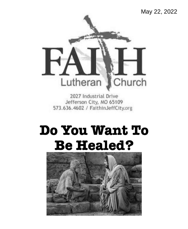# May 22, 2022



2027 Industrial Drive Jefferson City, MO 65109 573.636.4602 / FaithinJeffCity.org

# **Do You Want To Be Healed?**

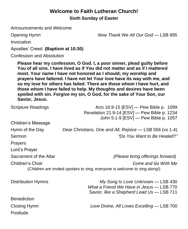# **Welcome to Faith Lutheran Church! Sixth Sunday of Easter**

Announcements and Welcome

Opening Hymn *Now Thank We All Our God* — LSB 895

Invocation

Apostles' Creed **(Baptism at 10:30)**

Confession and Absolution

**Please hear my confession, O God. I, a poor sinner, plead guilty before You of all sins. I have lived as if You did not matter and as if I mattered most. Your name I have not honored as I should; my worship and prayers have faltered. I have not let Your love have its way with me, and so my love for others has failed. There are those whom I have hurt, and those whom I have failed to help. My thoughts and desires have been spoiled with sin. Forgive my sin, O God, for the sake of Your Son, our Savior, Jesus.**

| <b>Scripture Readings</b>                                                                                              | Acts 16:9-15 [ESV] — Pew Bible p. 1099<br>Revelation 21:9-14 [ESV] - Pew Bible p. 1234<br>John 5:1-9 [ESV] - Pew Bible p. 1057 |  |  |
|------------------------------------------------------------------------------------------------------------------------|--------------------------------------------------------------------------------------------------------------------------------|--|--|
| Children's Message                                                                                                     |                                                                                                                                |  |  |
| Hymn of the Day                                                                                                        | Dear Christians, One and All, Rejoice — LSB 556 (vs 1-4)                                                                       |  |  |
| Sermon                                                                                                                 | "Do You Want to Be Healed?"                                                                                                    |  |  |
| <b>Prayers</b>                                                                                                         |                                                                                                                                |  |  |
| Lord's Prayer                                                                                                          |                                                                                                                                |  |  |
| Sacrament of the Altar                                                                                                 | (Please bring offerings forward)                                                                                               |  |  |
| Children's Choir<br>Come and Go With Me<br>(Children are invited upstairs to sing; everyone is welcome to sing along!) |                                                                                                                                |  |  |
| Distribution Hymns                                                                                                     | My Song Is Love Unknown — LSB 430<br>What a Friend We Have in Jesus - LSB 770<br>Savior, like a Shepherd Lead Us - LSB 711     |  |  |
| <b>Benediction</b>                                                                                                     |                                                                                                                                |  |  |
| Closing Hymn                                                                                                           | Love Divine, All Loves Excelling — LSB 700                                                                                     |  |  |
| Postlude                                                                                                               |                                                                                                                                |  |  |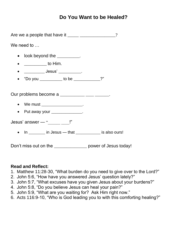## **Do You Want to be Healed?**

| We need to                                                                        |  |  |
|-----------------------------------------------------------------------------------|--|--|
| look beyond the $\_\_\_\_\_\_\_\_\_\_\$ .<br>$\bullet$                            |  |  |
| • $\frac{1}{1}$ to Him.                                                           |  |  |
| • ____________ Jesus' ____________.                                               |  |  |
| "Do you ___________ to be ____________?"<br>$\bullet$                             |  |  |
| Our problems become a ___________ ____ _____.<br>• We must _____________________. |  |  |
| Put away your _______________.<br>$\bullet$                                       |  |  |
| Jesus' answer $-$ " $\frac{1}{2}$ "                                               |  |  |
| • In _______ in Jesus — that ___________ is also ours!                            |  |  |
|                                                                                   |  |  |

Don't miss out on the \_\_\_\_\_\_\_\_\_\_\_\_\_\_\_\_ power of Jesus today!

#### **Read and Reflect:**

- 1. Matthew 11:28-30, "What burden do you need to give over to the Lord?"
- 2. John 5:6, "How have you answered Jesus' question lately?"
- 3. John 5:7, "What excuses have you given Jesus about your burdens?"
- 4. John 5:8, "Do you believe Jesus can heal your pain?"
- 5. John 5:9, "What are you waiting for? Ask Him right now."
- 6. Acts 116:9-10, "Who is God leading you to with this comforting healing?"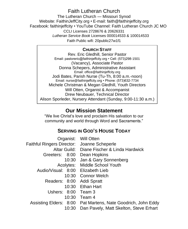## Faith Lutheran Church

The Lutheran Church — Missouri Synod Website: FaithinJeffCity.org • E-mail: faith@faithinjeffcity.org Facebook: faithinjeffcity • YouTube Channel: Faith Lutheran Church JC MO CCLI Licenses 2728676 & 20626331 *Lutheran Service Book* Licenses 000014533 & 100014533 Faith Public wifi: 20public27w1f1

#### **CHURCH STAFF**

Rev. Eric Gledhill, Senior Pastor Email: pastoreric@faithinjeffcity.org • Cell: (573)298-1501 (Vacancy), Associate Pastor Donna Schepers, Administrative Assistant Email: office@faithinjeffcity.org Jodi Bates, Parish Nurse (Tu-Th, 8:00 a.m.-noon) Email: nurse@faithinjeffcity.org • Phone: (573)632-7734 Michele Christman & Megan Gledhill, Youth Directors Will Otten, Organist & Accompanist Drew Neubauer, Technical Director Alison Sporleder, Nursery Attendant (Sunday, 9:00-11:30 a.m.)

## **Our Mission Statement**

"We live Christ's love and proclaim His salvation to our community and world through Word and Sacraments."

#### **SERVING IN GOD'S HOUSE TODAY**

|                                             | Organist: Will Otten                                         |
|---------------------------------------------|--------------------------------------------------------------|
| Faithful Ringers Director: Joanne Scheperle |                                                              |
|                                             | Altar Guild: Diane Fischer & Linda Hardwick                  |
| Greeters: 8:00                              | Dean Hopkins                                                 |
| 10:30                                       | Jan & Gary Sonnenberg                                        |
|                                             | Acolytes: Middle School Youth                                |
| Audio/Visual: 8:00 Elizabeth Lieb           |                                                              |
|                                             | 10:30 Connor Welch                                           |
| Readers: 8:00                               | <b>Addi Spratt</b>                                           |
|                                             | 10:30 Ethan Hart                                             |
| Ushers: 8:00 Team 3                         |                                                              |
|                                             | 10:30 Team 4                                                 |
|                                             | Assisting Elders: 8:00 Pat Martens, Nate Goodrich, John Eddy |
| 10:30                                       | Dan Pavely, Matt Skelton, Steve Erhart                       |
|                                             |                                                              |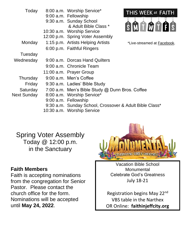| Today              | 8:00 a.m. Worship Service*<br>9:00 a.m. Fellowship      | THIS WEEK at FAITH          |  |
|--------------------|---------------------------------------------------------|-----------------------------|--|
|                    | 9:30 a.m. Sunday School<br>& Adult Bible Class *        | SMOOOOS                     |  |
|                    | 10:30 a.m. Worship Service                              |                             |  |
|                    | 12:00 p.m. Spring Voter Assembly                        |                             |  |
| Monday             | 1:15 p.m. Artists Helping Artists                       | *Live-streamed at Facebook. |  |
|                    | 6:00 p.m. Faithful Ringers                              |                             |  |
| Tuesday            |                                                         |                             |  |
| Wednesday          | 9:00 a.m. Dorcas Hand Quilters                          |                             |  |
|                    | 9:00 a.m. Chronicle Team                                |                             |  |
|                    | 11:00 a.m. Prayer Group                                 |                             |  |
| Thursday           | 9:00 a.m. Men's Coffee                                  |                             |  |
| Friday             | 9:30 a.m. Ladies' Bible Study                           |                             |  |
| Saturday           | 7:00 a.m. Men's Bible Study @ Dunn Bros. Coffee         |                             |  |
| <b>Next Sunday</b> | 8:00 a.m. Worship Service*                              |                             |  |
|                    | 9:00 a.m. Fellowship                                    |                             |  |
|                    | 9:30 a.m. Sunday School, Crossover & Adult Bible Class* |                             |  |
|                    | 10:30 a.m. Worship Service                              |                             |  |

Spring Voter Assembly Today @ 12:00 p.m. in the Sanctuary

#### **Faith Members**

Faith is accepting nominations from the congregation for Senior Pastor. Please contact the church office for the form. Nominations will be accepted until **May 24, 2022**.



Vacation Bible School **Monumental** Celebrate God's Greatness July 18-21

Registration begins May 22nd VBS table in the Narthex OR Online: **faithinjeffcity.org**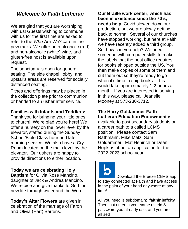## *Welcome to Faith Lutheran*

We are glad that you are worshiping with us! Guests wishing to commune with us for the first time are asked to refer to the *Who Are We?* card in the pew racks. We offer both alcoholic (red) and non-alcoholic (white) wine, and gluten-free host is available upon request.

The sanctuary is open for general seating. The side chapel, lobby, and upstairs areas are reserved for socially distanced seating.

Tithes and offerings may be placed in the collection plate prior to communion or handed to an usher after service.

#### **Families with Infants and Toddlers:**

Thank you for bringing your little ones to church! We're glad you're here! We offer a nursery on the lower level by the elevator, staffed during the Sunday School/Bible Class hour and late morning service. We also have a Cry Room located on the main level by the elevator. Our ushers are happy to provide directions to either location.

**Today we are celebrating Holy Baptism** for Olivia Rose Mancino, daughter of Jack & Andrea Mancino. We rejoice and give thanks to God for new life through water and the Word.

**Today's Altar Flowers** are given in celebration of the marriage of Faron and Olivia (Hart) Bartens.

**Our Braille work center, which has been in existence since the 70's, needs help.** Covid slowed down our production, but we are slowly getting back to normal. Several of our churches have stopped working, but here at Faith we have recently added a third group. So, how can you help? We need someone with computer skills to make the labels that the post office requires for books shipped outside the US. You then make copies of some of them and cut them out so they're ready to go when it's time to ship books. This would take approximately 1-2 hours a month. If you are interested in serving in this way, please call Jeanelle Mooney at 573-230-3712.

#### **The Harry Goldammer Faith Lutheran Education Endowment** is

available to post secondary students on a career path to a called LCMS position. Please contact Sam Rathmann, Mike Metz, Sam Goldammer, Mat Henirich or Dean Hopkins about an application for the 2022-2023 school year.

Download the Breeze ChMS app to stay connected at Faith and have access in the palm of your hand anywhere at any time!

All you need is subdomain: **faithinjeffcity** Then just enter in your same userid & password you already use, and you are all set!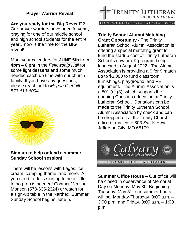#### **Prayer Warrior Reveal**

**Are you ready for the Big Reveal**??

Our prayer warriors have been fervently praying for one of our middle school and high school students for the entire year…now is the time for the **BIG** reveal!!!

Mark your calendars for **JUNE 5th** from **4pm – 6 pm** in the *Fellowship Hall* for some light desserts and some much needed catch up time with our church family! If you have any questions, please reach out to *Megan Gledhill 573-616-6094*



#### **Sign up to help or lead a summer Sunday School session!**

There will be lessons with Legos, ice cream, camping theme, and more. All you need to do is sign up to help; little to no prep is needed! Contact Merisue Monson (573-635-2324) or watch for a sign-up table in the Narthex. Summer Sunday School begins June 5.



**Trinity School Alumni Matching Grant Opportunity -** The Trinity Lutheran School Alumni Association is offering a special matching grant to fund the startup cost of Trinity Lutheran School's new pre-K program being launched in August 2022. The Alumni Association is providing a \$ for \$ match up to \$6,000 to fund classroom furnishings, playground, and PE equipment. The Alumni Association is a 501 (c) (3), which supports the ongoing Christian education at Trinity Lutheran School. Donations can be made to the Trinity Lutheran School Alumni Association by check and can be dropped off at the Trinity Church office or mailed to 803 Swifts Hwy, Jefferson City, MO 65109.



**Summer Office Hours –** Our office will be closed in observance of Memorial Day on Monday, May 30. Beginning Tuesday, May 31, our summer hours will be: Monday-Thursday, 9:00 a.m. – 3:00 p.m. and Friday, 9:00 a.m. – 1:00 p.m.